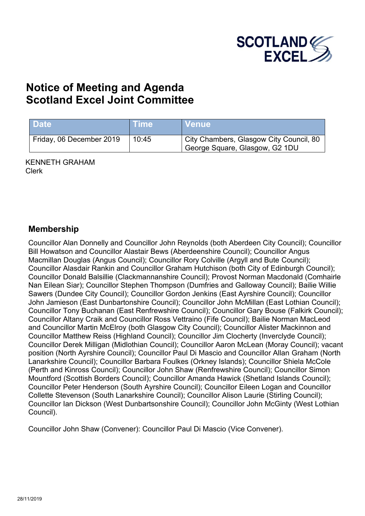

# **Notice of Meeting and Agenda Scotland Excel Joint Committee**

| <b>Date</b>              | ⊦Time | N Venue \                                                                 |
|--------------------------|-------|---------------------------------------------------------------------------|
| Friday, 06 December 2019 | 10:45 | City Chambers, Glasgow City Council, 80<br>George Square, Glasgow, G2 1DU |

KENNETH GRAHAM Clerk

#### **Membership**

Councillor Alan Donnelly and Councillor John Reynolds (both Aberdeen City Council); Councillor Bill Howatson and Councillor Alastair Bews (Aberdeenshire Council); Councillor Angus Macmillan Douglas (Angus Council); Councillor Rory Colville (Argyll and Bute Council); Councillor Alasdair Rankin and Councillor Graham Hutchison (both City of Edinburgh Council); Councillor Donald Balsillie (Clackmannanshire Council); Provost Norman Macdonald (Comhairle Nan Eilean Siar); Councillor Stephen Thompson (Dumfries and Galloway Council); Bailie Willie Sawers (Dundee City Council); Councillor Gordon Jenkins (East Ayrshire Council); Councillor John Jamieson (East Dunbartonshire Council); Councillor John McMillan (East Lothian Council); Councillor Tony Buchanan (East Renfrewshire Council); Councillor Gary Bouse (Falkirk Council); Councillor Altany Craik and Councillor Ross Vettraino (Fife Council); Bailie Norman MacLeod and Councillor Martin McElroy (both Glasgow City Council); Councillor Alister Mackinnon and Councillor Matthew Reiss (Highland Council); Councillor Jim Clocherty (Inverclyde Council); Councillor Derek Milligan (Midlothian Council); Councillor Aaron McLean (Moray Council); vacant position (North Ayrshire Council); Councillor Paul Di Mascio and Councillor Allan Graham (North Lanarkshire Council); Councillor Barbara Foulkes (Orkney Islands); Councillor Shiela McCole (Perth and Kinross Council); Councillor John Shaw (Renfrewshire Council); Councillor Simon Mountford (Scottish Borders Council); Councillor Amanda Hawick (Shetland Islands Council); Councillor Peter Henderson (South Ayrshire Council); Councillor Eileen Logan and Councillor Collette Stevenson (South Lanarkshire Council); Councillor Alison Laurie (Stirling Council); Councillor Ian Dickson (West Dunbartsonshire Council); Councillor John McGinty (West Lothian Council).

Councillor John Shaw (Convener): Councillor Paul Di Mascio (Vice Convener).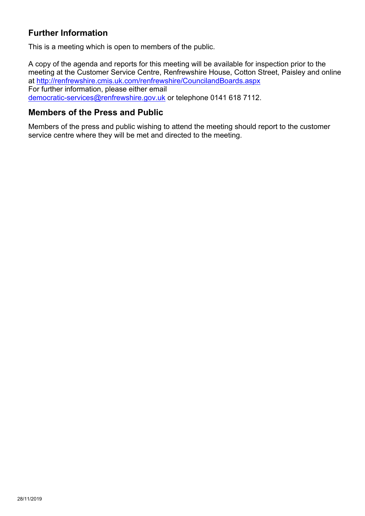### **Further Information**

This is a meeting which is open to members of the public.

A copy of the agenda and reports for this meeting will be available for inspection prior to the meeting at the Customer Service Centre, Renfrewshire House, Cotton Street, Paisley and online at <http://renfrewshire.cmis.uk.com/renfrewshire/CouncilandBoards.aspx> For further information, please either email [democratic-services@renfrewshire.gov.uk](mailto:democratic-services@renfrewshire.gov.uk) or telephone 0141 618 7112.

#### **Members of the Press and Public**

Members of the press and public wishing to attend the meeting should report to the customer service centre where they will be met and directed to the meeting.